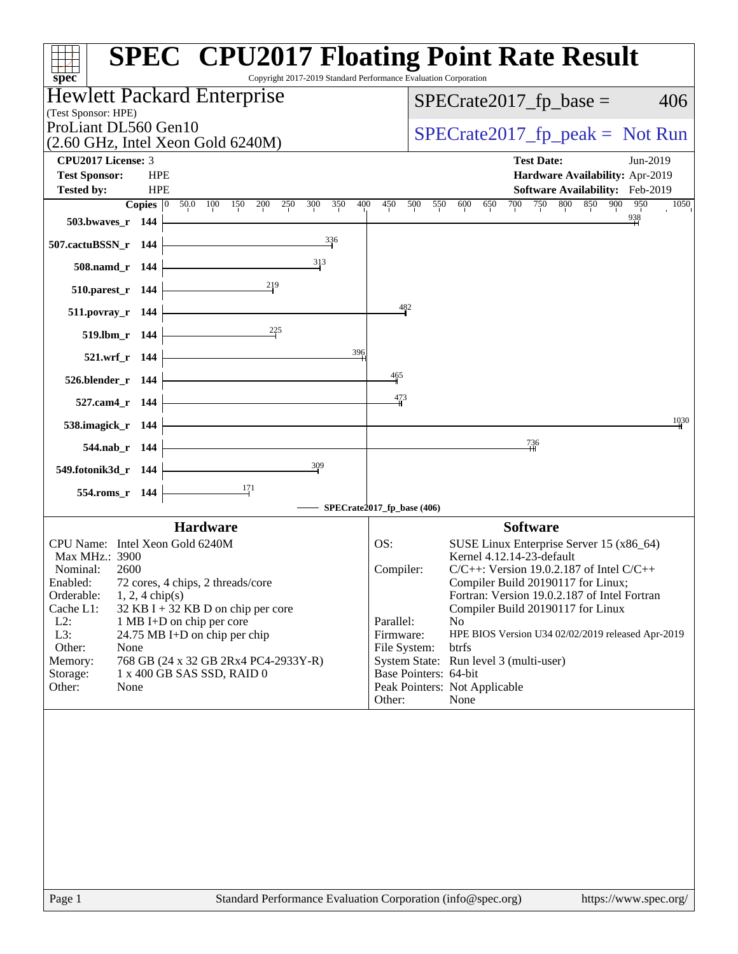| Copyright 2017-2019 Standard Performance Evaluation Corporation<br>spec <sup>®</sup>                        | <b>SPEC<sup>®</sup></b> CPU2017 Floating Point Rate Result                                                           |
|-------------------------------------------------------------------------------------------------------------|----------------------------------------------------------------------------------------------------------------------|
| Hewlett Packard Enterprise                                                                                  | $SPECrate2017_fp\_base =$<br>406                                                                                     |
| (Test Sponsor: HPE)                                                                                         |                                                                                                                      |
| ProLiant DL560 Gen10                                                                                        | $SPECrate2017_fp\_peak = Not Run$                                                                                    |
| $(2.60 \text{ GHz}, \text{Intel Xeon Gold } 6240 \text{M})$                                                 |                                                                                                                      |
| <b>CPU2017 License: 3</b>                                                                                   | <b>Test Date:</b><br>Jun-2019                                                                                        |
| <b>Test Sponsor:</b><br><b>HPE</b>                                                                          | Hardware Availability: Apr-2019                                                                                      |
| <b>HPE</b><br><b>Tested by:</b><br>Copies $ 0\rangle$<br>50.0 100<br>150<br>200<br>250<br>300<br>350<br>400 | Software Availability: Feb-2019<br>900<br>450<br>700<br>750<br>800<br>850<br>950<br>500<br>550<br>600<br>650<br>1050 |
| 503.bwaves_r 144                                                                                            |                                                                                                                      |
| 336<br>507.cactuBSSN_r 144                                                                                  |                                                                                                                      |
| 313<br>508.namd_r 144                                                                                       |                                                                                                                      |
| 219<br>510.parest_r 144                                                                                     |                                                                                                                      |
| 511.povray_r 144                                                                                            | 482                                                                                                                  |
| $^{225}$<br>519.lbm_r 144                                                                                   |                                                                                                                      |
| 396<br>521.wrf_r 144                                                                                        |                                                                                                                      |
| 526.blender_r 144                                                                                           | 465                                                                                                                  |
| 527.cam4_r 144                                                                                              | 473                                                                                                                  |
| 538.imagick_r 144                                                                                           | 1030                                                                                                                 |
| 544.nab r 144                                                                                               | $\frac{736}{4}$                                                                                                      |
| $\frac{309}{2}$<br>549.fotonik3d_r 144                                                                      |                                                                                                                      |
| 554.roms_r 144                                                                                              |                                                                                                                      |
|                                                                                                             | SPECrate2017_fp_base (406)                                                                                           |
| <b>Hardware</b>                                                                                             | <b>Software</b>                                                                                                      |
| CPU Name: Intel Xeon Gold 6240M                                                                             | SUSE Linux Enterprise Server 15 (x86_64)<br>OS:                                                                      |
| Max MHz.: 3900                                                                                              | Kernel 4.12.14-23-default                                                                                            |
| Nominal:<br>2600<br>72 cores, 4 chips, 2 threads/core<br>Enabled:                                           | Compiler:<br>$C/C++$ : Version 19.0.2.187 of Intel $C/C++$<br>Compiler Build 20190117 for Linux;                     |
| Orderable:<br>$1, 2, 4$ chip(s)                                                                             | Fortran: Version 19.0.2.187 of Intel Fortran                                                                         |
| $32$ KB I + 32 KB D on chip per core<br>Cache L1:                                                           | Compiler Build 20190117 for Linux                                                                                    |
| $L2$ :<br>1 MB I+D on chip per core<br>L3:<br>24.75 MB I+D on chip per chip                                 | Parallel:<br>N <sub>o</sub><br>Firmware:<br>HPE BIOS Version U34 02/02/2019 released Apr-2019                        |
| Other:<br>None                                                                                              | File System:<br>btrfs                                                                                                |
| 768 GB (24 x 32 GB 2Rx4 PC4-2933Y-R)<br>Memory:                                                             | System State: Run level 3 (multi-user)                                                                               |
| 1 x 400 GB SAS SSD, RAID 0<br>Storage:                                                                      | Base Pointers: 64-bit                                                                                                |
| Other:<br>None                                                                                              | Peak Pointers: Not Applicable<br>Other:<br>None                                                                      |
|                                                                                                             |                                                                                                                      |
|                                                                                                             |                                                                                                                      |
|                                                                                                             |                                                                                                                      |
|                                                                                                             |                                                                                                                      |
|                                                                                                             |                                                                                                                      |
|                                                                                                             |                                                                                                                      |
|                                                                                                             |                                                                                                                      |
|                                                                                                             |                                                                                                                      |
|                                                                                                             |                                                                                                                      |
|                                                                                                             |                                                                                                                      |
| Page 1                                                                                                      | Standard Performance Evaluation Corporation (info@spec.org)<br>https://www.spec.org/                                 |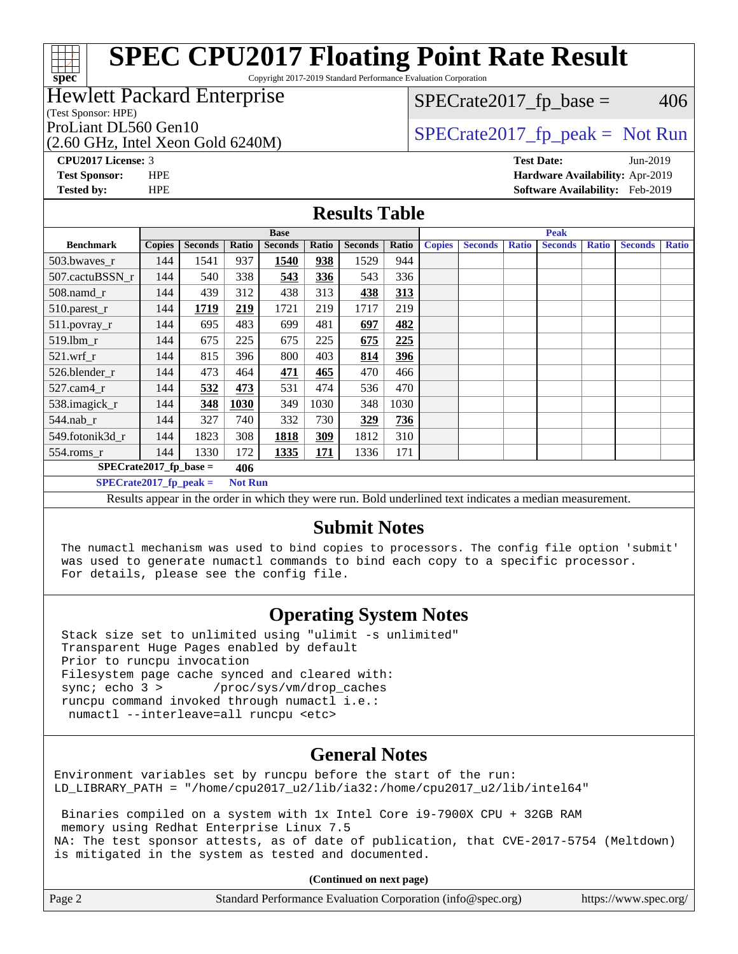#### **[SPEC CPU2017 Floating Point Rate Result](http://www.spec.org/auto/cpu2017/Docs/result-fields.html#SPECCPU2017FloatingPointRateResult)** Copyright 2017-2019 Standard Performance Evaluation Corporation

#### Hewlett Packard Enterprise

(Test Sponsor: HPE)

**[spec](http://www.spec.org/)**

(2.60 GHz, Intel Xeon Gold 6240M)

 $SPECTate2017<sub>fp</sub> base = 406$ 

#### ProLiant DL560 Gen10  $SPECTA = 50$  [SPECrate2017\\_fp\\_peak =](http://www.spec.org/auto/cpu2017/Docs/result-fields.html#SPECrate2017fppeak) Not Run

**[CPU2017 License:](http://www.spec.org/auto/cpu2017/Docs/result-fields.html#CPU2017License)** 3 **[Test Date:](http://www.spec.org/auto/cpu2017/Docs/result-fields.html#TestDate)** Jun-2019 **[Test Sponsor:](http://www.spec.org/auto/cpu2017/Docs/result-fields.html#TestSponsor)** HPE **[Hardware Availability:](http://www.spec.org/auto/cpu2017/Docs/result-fields.html#HardwareAvailability)** Apr-2019 **[Tested by:](http://www.spec.org/auto/cpu2017/Docs/result-fields.html#Testedby)** HPE **[Software Availability:](http://www.spec.org/auto/cpu2017/Docs/result-fields.html#SoftwareAvailability)** Feb-2019

#### **[Results Table](http://www.spec.org/auto/cpu2017/Docs/result-fields.html#ResultsTable)**

|                                                                                                                                                                                                                                                                                                                          |               |                |                | <b>Base</b>    |            |                |       | <b>Peak</b>   |                |              |                |              |                |              |
|--------------------------------------------------------------------------------------------------------------------------------------------------------------------------------------------------------------------------------------------------------------------------------------------------------------------------|---------------|----------------|----------------|----------------|------------|----------------|-------|---------------|----------------|--------------|----------------|--------------|----------------|--------------|
| <b>Benchmark</b>                                                                                                                                                                                                                                                                                                         | <b>Copies</b> | <b>Seconds</b> | Ratio          | <b>Seconds</b> | Ratio      | <b>Seconds</b> | Ratio | <b>Copies</b> | <b>Seconds</b> | <b>Ratio</b> | <b>Seconds</b> | <b>Ratio</b> | <b>Seconds</b> | <b>Ratio</b> |
| 503.bwaves_r                                                                                                                                                                                                                                                                                                             | 144           | 1541           | 937            | 1540           | 938        | 1529           | 944   |               |                |              |                |              |                |              |
| 507.cactuBSSN r                                                                                                                                                                                                                                                                                                          | 144           | 540            | 338            | 543            | 336        | 543            | 336   |               |                |              |                |              |                |              |
| 508.namd_r                                                                                                                                                                                                                                                                                                               | 144           | 439            | 312            | 438            | 313        | 438            | 313   |               |                |              |                |              |                |              |
| 510.parest_r                                                                                                                                                                                                                                                                                                             | 144           | 1719           | 219            | 1721           | 219        | 1717           | 219   |               |                |              |                |              |                |              |
| 511.povray_r                                                                                                                                                                                                                                                                                                             | 144           | 695            | 483            | 699            | 481        | 697            | 482   |               |                |              |                |              |                |              |
| 519.lbm r                                                                                                                                                                                                                                                                                                                | 144           | 675            | 225            | 675            | 225        | 675            | 225   |               |                |              |                |              |                |              |
| $521$ .wrf $r$                                                                                                                                                                                                                                                                                                           | 144           | 815            | 396            | 800            | 403        | 814            | 396   |               |                |              |                |              |                |              |
| 526.blender r                                                                                                                                                                                                                                                                                                            | 144           | 473            | 464            | <u>471</u>     | 465        | 470            | 466   |               |                |              |                |              |                |              |
| $527$ .cam $4r$                                                                                                                                                                                                                                                                                                          | 144           | 532            | 473            | 531            | 474        | 536            | 470   |               |                |              |                |              |                |              |
| 538.imagick_r                                                                                                                                                                                                                                                                                                            | 144           | 348            | 1030           | 349            | 1030       | 348            | 1030  |               |                |              |                |              |                |              |
| $544.nab_r$                                                                                                                                                                                                                                                                                                              | 144           | 327            | 740            | 332            | 730        | 329            | 736   |               |                |              |                |              |                |              |
| 549.fotonik3d r                                                                                                                                                                                                                                                                                                          | 144           | 1823           | 308            | 1818           | 309        | 1812           | 310   |               |                |              |                |              |                |              |
| $554$ .roms_r                                                                                                                                                                                                                                                                                                            | 144           | 1330           | 172            | 1335           | <u>171</u> | 1336           | 171   |               |                |              |                |              |                |              |
| $SPECrate2017_fp\_base =$                                                                                                                                                                                                                                                                                                |               |                | 406            |                |            |                |       |               |                |              |                |              |                |              |
| $SPECrate2017_fp_peak =$                                                                                                                                                                                                                                                                                                 |               |                | <b>Not Run</b> |                |            |                |       |               |                |              |                |              |                |              |
| $\mathbf{r}$ and $\mathbf{r}$ are the set of the set of the set of the set of the set of the set of the set of the set of the set of the set of the set of the set of the set of the set of the set of the set of the set of the set<br>$\mathbf{p}$ and $\mathbf{r}$ and $\mathbf{r}$ and $\mathbf{r}$ and $\mathbf{r}$ |               |                |                |                |            |                |       |               |                |              |                |              |                |              |

Results appear in the [order in which they were run](http://www.spec.org/auto/cpu2017/Docs/result-fields.html#RunOrder). Bold underlined text [indicates a median measurement.](http://www.spec.org/auto/cpu2017/Docs/result-fields.html#Median)

#### **[Submit Notes](http://www.spec.org/auto/cpu2017/Docs/result-fields.html#SubmitNotes)**

 The numactl mechanism was used to bind copies to processors. The config file option 'submit' was used to generate numactl commands to bind each copy to a specific processor. For details, please see the config file.

#### **[Operating System Notes](http://www.spec.org/auto/cpu2017/Docs/result-fields.html#OperatingSystemNotes)**

 Stack size set to unlimited using "ulimit -s unlimited" Transparent Huge Pages enabled by default Prior to runcpu invocation Filesystem page cache synced and cleared with: sync; echo 3 > /proc/sys/vm/drop\_caches runcpu command invoked through numactl i.e.: numactl --interleave=all runcpu <etc>

#### **[General Notes](http://www.spec.org/auto/cpu2017/Docs/result-fields.html#GeneralNotes)**

Environment variables set by runcpu before the start of the run: LD\_LIBRARY\_PATH = "/home/cpu2017\_u2/lib/ia32:/home/cpu2017\_u2/lib/intel64"

 Binaries compiled on a system with 1x Intel Core i9-7900X CPU + 32GB RAM memory using Redhat Enterprise Linux 7.5 NA: The test sponsor attests, as of date of publication, that CVE-2017-5754 (Meltdown) is mitigated in the system as tested and documented.

**(Continued on next page)**

| Page 2 | Standard Performance Evaluation Corporation (info@spec.org) | https://www.spec.org/ |
|--------|-------------------------------------------------------------|-----------------------|
|--------|-------------------------------------------------------------|-----------------------|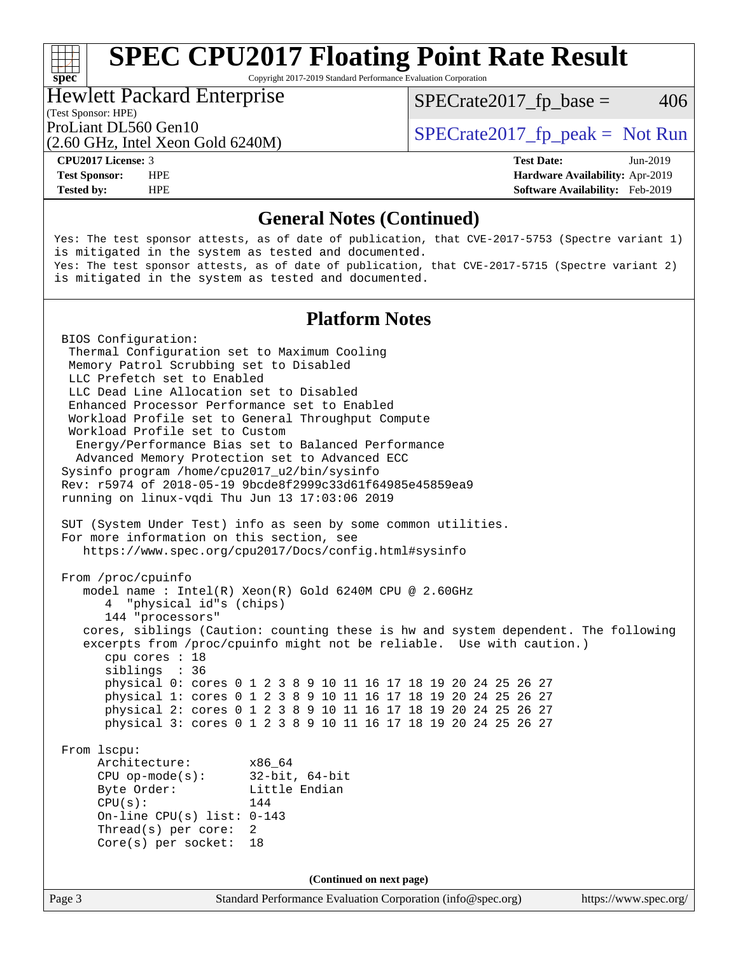## **[SPEC CPU2017 Floating Point Rate Result](http://www.spec.org/auto/cpu2017/Docs/result-fields.html#SPECCPU2017FloatingPointRateResult)**

Copyright 2017-2019 Standard Performance Evaluation Corporation

#### Hewlett Packard Enterprise

 $SPECTate2017<sub>fp</sub> base = 406$ 

#### (Test Sponsor: HPE)

(2.60 GHz, Intel Xeon Gold 6240M)

ProLiant DL560 Gen10  $SPECrate2017$  fp\_peak = Not Run

**[spec](http://www.spec.org/)**

**[Tested by:](http://www.spec.org/auto/cpu2017/Docs/result-fields.html#Testedby)** HPE **[Software Availability:](http://www.spec.org/auto/cpu2017/Docs/result-fields.html#SoftwareAvailability)** Feb-2019

**[CPU2017 License:](http://www.spec.org/auto/cpu2017/Docs/result-fields.html#CPU2017License)** 3 **[Test Date:](http://www.spec.org/auto/cpu2017/Docs/result-fields.html#TestDate)** Jun-2019 **[Test Sponsor:](http://www.spec.org/auto/cpu2017/Docs/result-fields.html#TestSponsor)** HPE **[Hardware Availability:](http://www.spec.org/auto/cpu2017/Docs/result-fields.html#HardwareAvailability)** Apr-2019

#### **[General Notes \(Continued\)](http://www.spec.org/auto/cpu2017/Docs/result-fields.html#GeneralNotes)**

Yes: The test sponsor attests, as of date of publication, that CVE-2017-5753 (Spectre variant 1) is mitigated in the system as tested and documented. Yes: The test sponsor attests, as of date of publication, that CVE-2017-5715 (Spectre variant 2) is mitigated in the system as tested and documented.

#### **[Platform Notes](http://www.spec.org/auto/cpu2017/Docs/result-fields.html#PlatformNotes)**

Page 3 Standard Performance Evaluation Corporation [\(info@spec.org\)](mailto:info@spec.org) <https://www.spec.org/> BIOS Configuration: Thermal Configuration set to Maximum Cooling Memory Patrol Scrubbing set to Disabled LLC Prefetch set to Enabled LLC Dead Line Allocation set to Disabled Enhanced Processor Performance set to Enabled Workload Profile set to General Throughput Compute Workload Profile set to Custom Energy/Performance Bias set to Balanced Performance Advanced Memory Protection set to Advanced ECC Sysinfo program /home/cpu2017\_u2/bin/sysinfo Rev: r5974 of 2018-05-19 9bcde8f2999c33d61f64985e45859ea9 running on linux-vqdi Thu Jun 13 17:03:06 2019 SUT (System Under Test) info as seen by some common utilities. For more information on this section, see <https://www.spec.org/cpu2017/Docs/config.html#sysinfo> From /proc/cpuinfo model name : Intel(R) Xeon(R) Gold 6240M CPU @ 2.60GHz 4 "physical id"s (chips) 144 "processors" cores, siblings (Caution: counting these is hw and system dependent. The following excerpts from /proc/cpuinfo might not be reliable. Use with caution.) cpu cores : 18 siblings : 36 physical 0: cores 0 1 2 3 8 9 10 11 16 17 18 19 20 24 25 26 27 physical 1: cores 0 1 2 3 8 9 10 11 16 17 18 19 20 24 25 26 27 physical 2: cores 0 1 2 3 8 9 10 11 16 17 18 19 20 24 25 26 27 physical 3: cores 0 1 2 3 8 9 10 11 16 17 18 19 20 24 25 26 27 From lscpu: Architecture: x86\_64 CPU op-mode(s): 32-bit, 64-bit Byte Order: Little Endian  $CPU(s):$  144 On-line CPU(s) list: 0-143 Thread(s) per core: 2 Core(s) per socket: 18 **(Continued on next page)**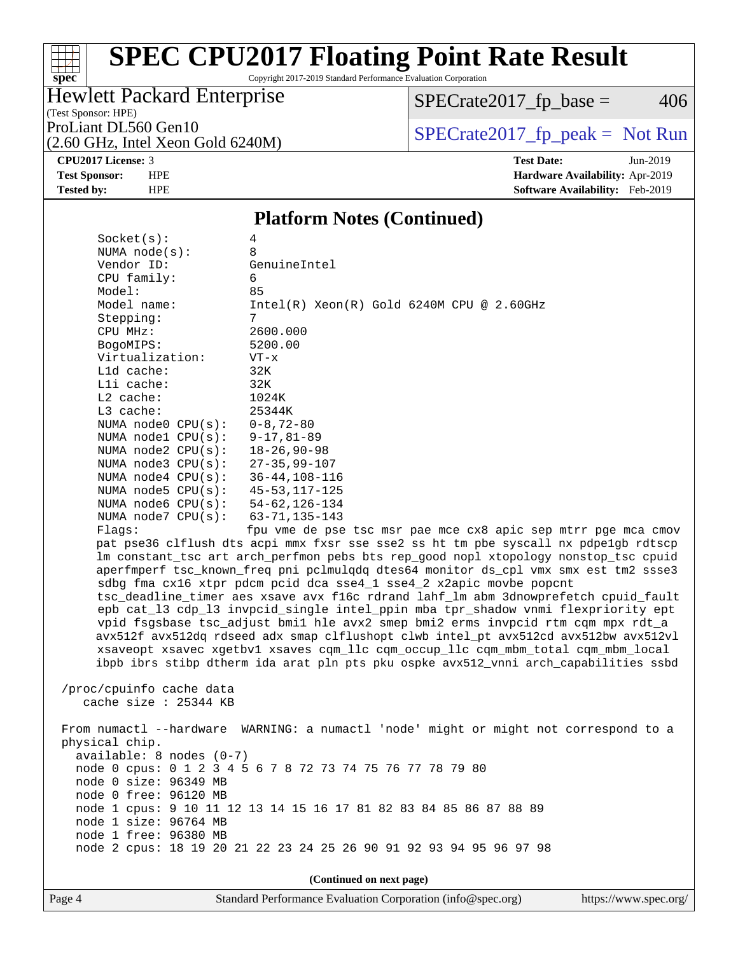# **[SPEC CPU2017 Floating Point Rate Result](http://www.spec.org/auto/cpu2017/Docs/result-fields.html#SPECCPU2017FloatingPointRateResult)**

Copyright 2017-2019 Standard Performance Evaluation Corporation

#### Hewlett Packard Enterprise

(2.60 GHz, Intel Xeon Gold 6240M)

 $SPECrate2017_fp\_base = 406$ 

(Test Sponsor: HPE)

ProLiant DL560 Gen10<br>  $(2.60 \text{ GHz})$  Intel Xeon Gold 6240M)

**[CPU2017 License:](http://www.spec.org/auto/cpu2017/Docs/result-fields.html#CPU2017License)** 3 **[Test Date:](http://www.spec.org/auto/cpu2017/Docs/result-fields.html#TestDate)** Jun-2019

**[Test Sponsor:](http://www.spec.org/auto/cpu2017/Docs/result-fields.html#TestSponsor)** HPE **[Hardware Availability:](http://www.spec.org/auto/cpu2017/Docs/result-fields.html#HardwareAvailability)** Apr-2019 **[Tested by:](http://www.spec.org/auto/cpu2017/Docs/result-fields.html#Testedby)** HPE **[Software Availability:](http://www.spec.org/auto/cpu2017/Docs/result-fields.html#SoftwareAvailability)** Feb-2019

#### **[Platform Notes \(Continued\)](http://www.spec.org/auto/cpu2017/Docs/result-fields.html#PlatformNotes)**

| Socket(s):                                       | 4                                                                                    |
|--------------------------------------------------|--------------------------------------------------------------------------------------|
| NUMA $node(s):$                                  | 8                                                                                    |
| Vendor ID:                                       | GenuineIntel                                                                         |
| CPU family:                                      | 6                                                                                    |
| Model:                                           | 85                                                                                   |
| Model name:                                      | $Intel(R) Xeon(R) Gold 6240M CPU @ 2.60GHz$                                          |
| Stepping:                                        | 7                                                                                    |
| CPU MHz:                                         | 2600.000                                                                             |
| BogoMIPS:                                        | 5200.00                                                                              |
| Virtualization:                                  | $VT - x$                                                                             |
| L1d cache:                                       | 32K                                                                                  |
| Lli cache:                                       | 32K                                                                                  |
| $L2$ cache:                                      | 1024K                                                                                |
| $L3$ cache:                                      | 25344K                                                                               |
| NUMA $node0$ $CPU(s)$ :                          | $0 - 8, 72 - 80$                                                                     |
| NUMA nodel $CPU(s):$                             | $9 - 17, 81 - 89$                                                                    |
| NUMA node2 CPU(s):                               | $18 - 26, 90 - 98$                                                                   |
| NUMA $node3$ $CPU(s):$<br>NUMA $node4$ $CPU(s):$ | $27 - 35, 99 - 107$<br>$36 - 44, 108 - 116$                                          |
| NUMA $node5$ $CPU(s):$                           | $45 - 53$ , $117 - 125$                                                              |
| NUMA $node6$ $CPU(s):$                           | $54 - 62, 126 - 134$                                                                 |
| NUMA node7 CPU(s):                               | $63 - 71, 135 - 143$                                                                 |
| Flaqs:                                           | fpu vme de pse tsc msr pae mce cx8 apic sep mtrr pge mca cmov                        |
|                                                  | pat pse36 clflush dts acpi mmx fxsr sse sse2 ss ht tm pbe syscall nx pdpelgb rdtscp  |
|                                                  | lm constant_tsc art arch_perfmon pebs bts rep_good nopl xtopology nonstop_tsc cpuid  |
|                                                  | aperfmperf tsc_known_freq pni pclmulqdq dtes64 monitor ds_cpl vmx smx est tm2 ssse3  |
|                                                  | sdbg fma cx16 xtpr pdcm pcid dca sse4_1 sse4_2 x2apic movbe popcnt                   |
|                                                  | tsc_deadline_timer aes xsave avx f16c rdrand lahf_lm abm 3dnowprefetch cpuid_fault   |
|                                                  | epb cat_13 cdp_13 invpcid_single intel_ppin mba tpr_shadow vnmi flexpriority ept     |
|                                                  | vpid fsgsbase tsc_adjust bmil hle avx2 smep bmi2 erms invpcid rtm cqm mpx rdt_a      |
|                                                  | avx512f avx512dq rdseed adx smap clflushopt clwb intel_pt avx512cd avx512bw avx512vl |
|                                                  | xsaveopt xsavec xgetbvl xsaves cqm_llc cqm_occup_llc cqm_mbm_total cqm_mbm_local     |
|                                                  | ibpb ibrs stibp dtherm ida arat pln pts pku ospke avx512_vnni arch_capabilities ssbd |
|                                                  |                                                                                      |
| /proc/cpuinfo cache data                         |                                                                                      |
| cache size : $25344$ KB                          |                                                                                      |
|                                                  |                                                                                      |
|                                                  | From numactl --hardware WARNING: a numactl 'node' might or might not correspond to a |
| physical chip.                                   |                                                                                      |
| $available: 8 nodes (0-7)$                       |                                                                                      |
|                                                  | node 0 cpus: 0 1 2 3 4 5 6 7 8 72 73 74 75 76 77 78 79 80                            |
| node 0 size: 96349 MB                            |                                                                                      |
| node 0 free: 96120 MB                            |                                                                                      |
|                                                  | node 1 cpus: 9 10 11 12 13 14 15 16 17 81 82 83 84 85 86 87 88 89                    |
| node 1 size: 96764 MB<br>node 1 free: 96380 MB   |                                                                                      |
|                                                  | node 2 cpus: 18 19 20 21 22 23 24 25 26 90 91 92 93 94 95 96 97 98                   |
|                                                  |                                                                                      |
|                                                  |                                                                                      |
|                                                  | (Continued on next page)                                                             |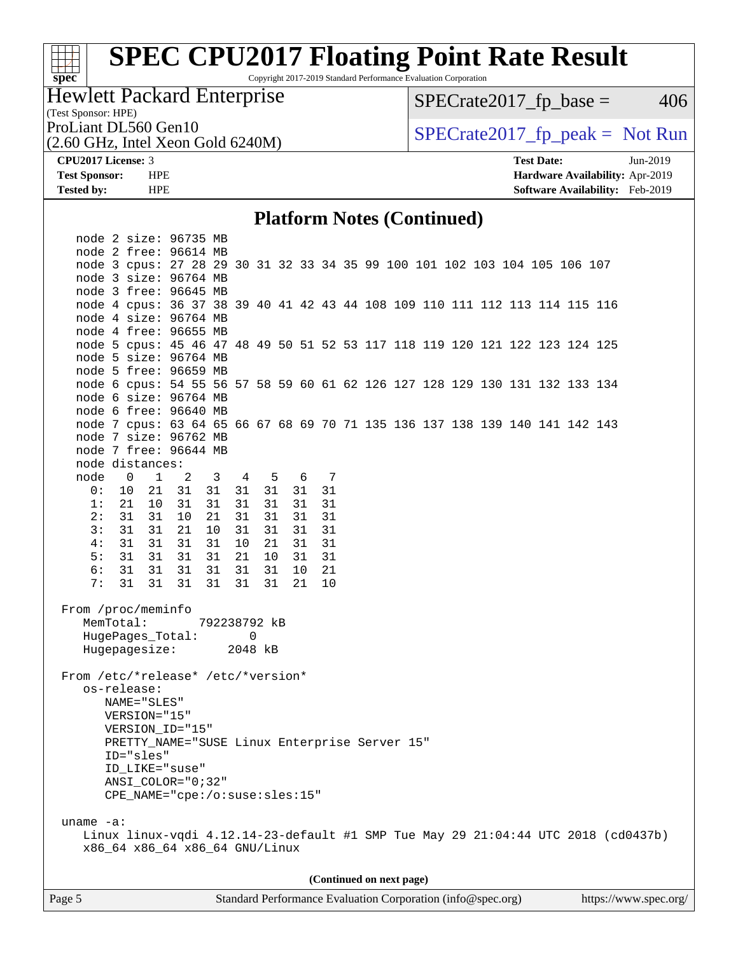# **[SPEC CPU2017 Floating Point Rate Result](http://www.spec.org/auto/cpu2017/Docs/result-fields.html#SPECCPU2017FloatingPointRateResult)**

Copyright 2017-2019 Standard Performance Evaluation Corporation

#### Hewlett Packard Enterprise

 $SPECrate2017_fp\_base = 406$ 

(Test Sponsor: HPE)

(2.60 GHz, Intel Xeon Gold 6240M)

ProLiant DL560 Gen10<br>  $(2.60 \text{ GHz})$  Intel Xeon Gold 6240M)

**[CPU2017 License:](http://www.spec.org/auto/cpu2017/Docs/result-fields.html#CPU2017License)** 3 **[Test Date:](http://www.spec.org/auto/cpu2017/Docs/result-fields.html#TestDate)** Jun-2019 **[Test Sponsor:](http://www.spec.org/auto/cpu2017/Docs/result-fields.html#TestSponsor)** HPE **[Hardware Availability:](http://www.spec.org/auto/cpu2017/Docs/result-fields.html#HardwareAvailability)** Apr-2019 **[Tested by:](http://www.spec.org/auto/cpu2017/Docs/result-fields.html#Testedby)** HPE **[Software Availability:](http://www.spec.org/auto/cpu2017/Docs/result-fields.html#SoftwareAvailability)** Feb-2019

#### **[Platform Notes \(Continued\)](http://www.spec.org/auto/cpu2017/Docs/result-fields.html#PlatformNotes)**

| node 2 size: 96735 MB                                                                                                               |
|-------------------------------------------------------------------------------------------------------------------------------------|
| node 2 free: 96614 MB                                                                                                               |
| node 3 cpus: 27 28 29 30 31 32 33 34 35 99 100 101 102 103 104 105 106 107                                                          |
| node 3 size: 96764 MB                                                                                                               |
| node 3 free: 96645 MB                                                                                                               |
| node 4 cpus: 36 37 38 39 40 41 42 43 44 108 109 110 111 112 113 114 115 116                                                         |
| node 4 size: 96764 MB                                                                                                               |
| node 4 free: 96655 MB                                                                                                               |
| node 5 cpus: 45 46 47 48 49 50 51 52 53 117 118 119 120 121 122 123 124 125                                                         |
| node 5 size: 96764 MB                                                                                                               |
| node 5 free: 96659 MB                                                                                                               |
| node 6 cpus: 54 55 56 57 58 59 60 61 62 126 127 128 129 130 131 132 133 134                                                         |
| node 6 size: 96764 MB<br>node 6 free: 96640 MB                                                                                      |
|                                                                                                                                     |
| node 7 cpus: 63 64 65 66 67 68 69 70 71 135 136 137 138 139 140 141 142 143<br>node 7 size: 96762 MB                                |
| node 7 free: 96644 MB                                                                                                               |
| node distances:                                                                                                                     |
| node 0 1 2<br>3 4 5<br>6 7                                                                                                          |
| 0: 10 21 31<br>31 31 31<br>31 31                                                                                                    |
| 1: 21 10<br>31<br>31<br>31 31<br>31<br>31                                                                                           |
| 2:<br>31<br>31<br>10<br>21<br>31 31<br>31<br>31                                                                                     |
| 3:<br>31 31<br>10<br>31<br>21<br>31<br>31<br>31                                                                                     |
| 4:<br>31 31<br>31<br>10 21<br>31<br>31<br>31                                                                                        |
| 5:<br>31 31<br>31<br>31<br>21 10<br>31<br>31                                                                                        |
| 6:<br>31 31 31<br>31<br>31 31<br>21<br>10                                                                                           |
| 7:<br>31 31 31<br>31<br>31 31<br>10<br>21                                                                                           |
| From /proc/meminfo<br>MemTotal:<br>792238792 kB<br>HugePages_Total: 0<br>Hugepagesize: 2048 kB                                      |
| From /etc/*release* /etc/*version*<br>os-release:<br>NAME="SLES"                                                                    |
| VERSION="15"                                                                                                                        |
| VERSION_ID="15"<br>PRETTY_NAME="SUSE Linux Enterprise Server 15"                                                                    |
| ID="sles"                                                                                                                           |
| ID_LIKE="suse"                                                                                                                      |
| ANSI COLOR="0;32"                                                                                                                   |
| CPE_NAME="cpe:/o:suse:sles:15"                                                                                                      |
|                                                                                                                                     |
| uname $-a$ :<br>Linux linux-vqdi 4.12.14-23-default #1 SMP Tue May 29 21:04:44 UTC 2018 (cd0437b)<br>x86_64 x86_64 x86_64 GNU/Linux |
|                                                                                                                                     |
| (Continued on next page)                                                                                                            |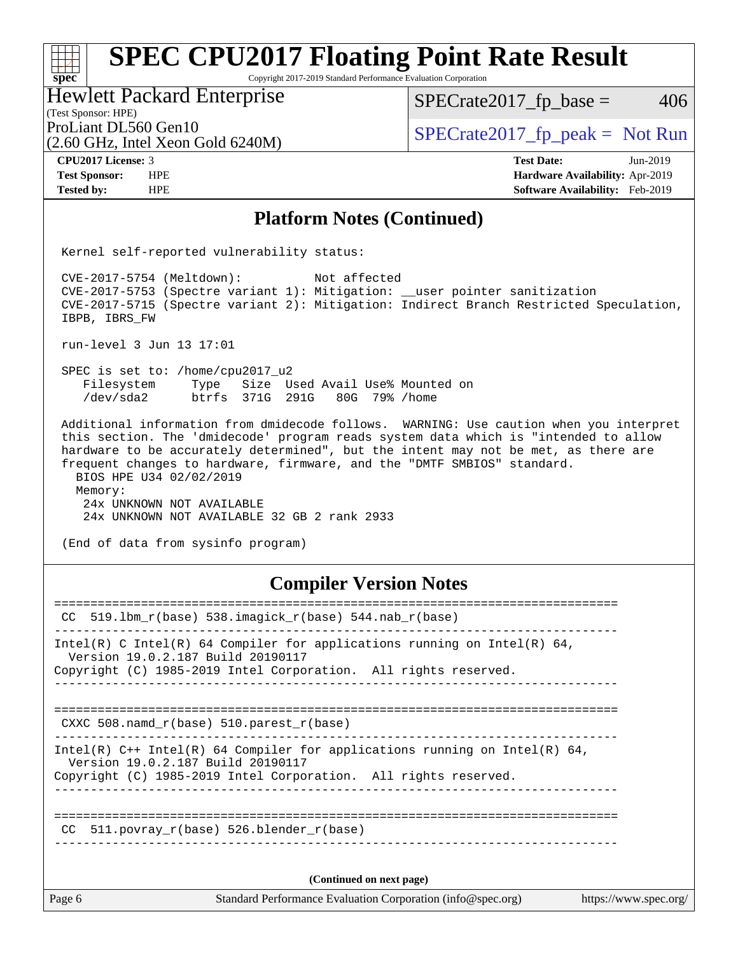# **[SPEC CPU2017 Floating Point Rate Result](http://www.spec.org/auto/cpu2017/Docs/result-fields.html#SPECCPU2017FloatingPointRateResult)**

Copyright 2017-2019 Standard Performance Evaluation Corporation

Hewlett Packard Enterprise

 $SPECTate2017<sub>fp</sub> base = 406$ 

(Test Sponsor: HPE)

(2.60 GHz, Intel Xeon Gold 6240M)

ProLiant DL560 Gen10<br>  $\begin{array}{r} \text{SPECrate2017\_fp\_peak = Not Run} \\ \text{SPECrate2017\_fp\_peak = Not Run} \end{array}$ 

**[spec](http://www.spec.org/)**

 $\pm r$ 

**[CPU2017 License:](http://www.spec.org/auto/cpu2017/Docs/result-fields.html#CPU2017License)** 3 **[Test Date:](http://www.spec.org/auto/cpu2017/Docs/result-fields.html#TestDate)** Jun-2019 **[Test Sponsor:](http://www.spec.org/auto/cpu2017/Docs/result-fields.html#TestSponsor)** HPE **[Hardware Availability:](http://www.spec.org/auto/cpu2017/Docs/result-fields.html#HardwareAvailability)** Apr-2019 **[Tested by:](http://www.spec.org/auto/cpu2017/Docs/result-fields.html#Testedby)** HPE **[Software Availability:](http://www.spec.org/auto/cpu2017/Docs/result-fields.html#SoftwareAvailability)** Feb-2019

#### **[Platform Notes \(Continued\)](http://www.spec.org/auto/cpu2017/Docs/result-fields.html#PlatformNotes)**

Kernel self-reported vulnerability status:

 CVE-2017-5754 (Meltdown): Not affected CVE-2017-5753 (Spectre variant 1): Mitigation: \_\_user pointer sanitization CVE-2017-5715 (Spectre variant 2): Mitigation: Indirect Branch Restricted Speculation, IBPB, IBRS\_FW

run-level 3 Jun 13 17:01

 SPEC is set to: /home/cpu2017\_u2 Filesystem Type Size Used Avail Use% Mounted on /dev/sda2 btrfs 371G 291G 80G 79% /home

 Additional information from dmidecode follows. WARNING: Use caution when you interpret this section. The 'dmidecode' program reads system data which is "intended to allow hardware to be accurately determined", but the intent may not be met, as there are frequent changes to hardware, firmware, and the "DMTF SMBIOS" standard. BIOS HPE U34 02/02/2019 Memory: 24x UNKNOWN NOT AVAILABLE

24x UNKNOWN NOT AVAILABLE 32 GB 2 rank 2933

(End of data from sysinfo program)

#### **[Compiler Version Notes](http://www.spec.org/auto/cpu2017/Docs/result-fields.html#CompilerVersionNotes)**

| $519.1$ bm_r(base) 538.imagick_r(base) 544.nab_r(base)<br>CC.<br>Intel(R) C Intel(R) 64 Compiler for applications running on Intel(R) 64,<br>Version 19.0.2.187 Build 20190117<br>Copyright (C) 1985-2019 Intel Corporation. All rights reserved.<br>CXXC 508. namd $r(base)$ 510. parest $r(base)$<br>Intel(R) $C++$ Intel(R) 64 Compiler for applications running on Intel(R) 64,<br>Version 19.0.2.187 Build 20190117<br>Copyright (C) 1985-2019 Intel Corporation. All rights reserved.<br>CC 511. povray $r(base)$ 526. blender $r(base)$<br>(Continued on next page) | Page 6<br>Standard Performance Evaluation Corporation (info@spec.org) | https://www.spec.org/ |
|----------------------------------------------------------------------------------------------------------------------------------------------------------------------------------------------------------------------------------------------------------------------------------------------------------------------------------------------------------------------------------------------------------------------------------------------------------------------------------------------------------------------------------------------------------------------------|-----------------------------------------------------------------------|-----------------------|
|                                                                                                                                                                                                                                                                                                                                                                                                                                                                                                                                                                            |                                                                       |                       |
|                                                                                                                                                                                                                                                                                                                                                                                                                                                                                                                                                                            |                                                                       |                       |
|                                                                                                                                                                                                                                                                                                                                                                                                                                                                                                                                                                            |                                                                       |                       |
|                                                                                                                                                                                                                                                                                                                                                                                                                                                                                                                                                                            |                                                                       |                       |
|                                                                                                                                                                                                                                                                                                                                                                                                                                                                                                                                                                            |                                                                       |                       |
|                                                                                                                                                                                                                                                                                                                                                                                                                                                                                                                                                                            |                                                                       |                       |
|                                                                                                                                                                                                                                                                                                                                                                                                                                                                                                                                                                            |                                                                       |                       |
|                                                                                                                                                                                                                                                                                                                                                                                                                                                                                                                                                                            |                                                                       |                       |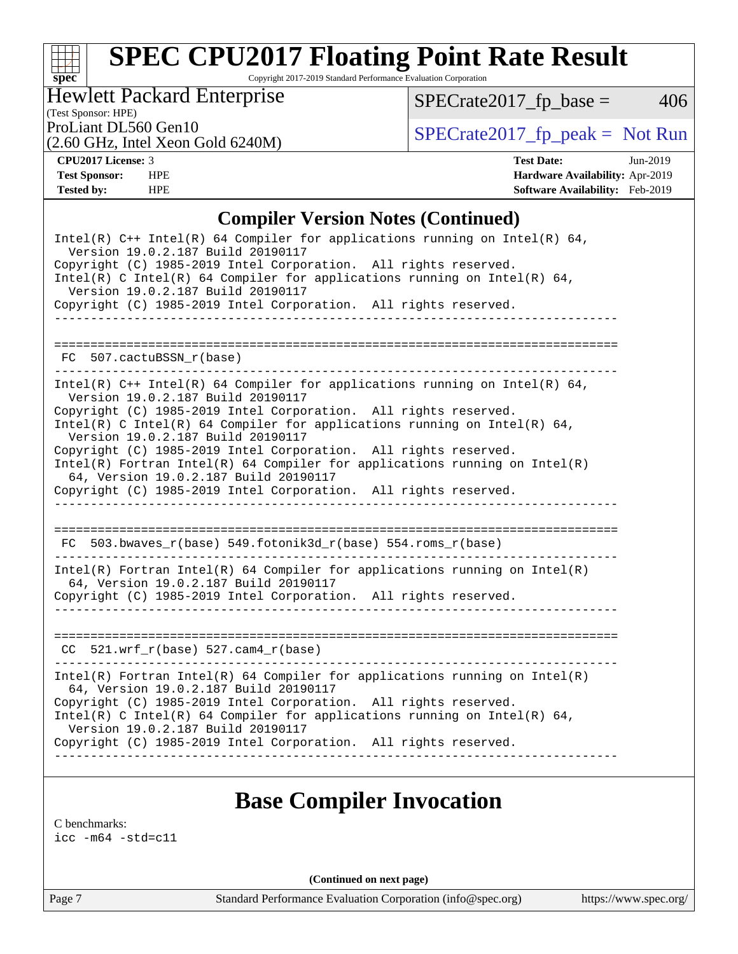# **[SPEC CPU2017 Floating Point Rate Result](http://www.spec.org/auto/cpu2017/Docs/result-fields.html#SPECCPU2017FloatingPointRateResult)**

Copyright 2017-2019 Standard Performance Evaluation Corporation

#### Hewlett Packard Enterprise

 $SPECrate2017_fp\_base = 406$ 

### (Test Sponsor: HPE)

(2.60 GHz, Intel Xeon Gold 6240M)

ProLiant DL560 Gen10<br>  $\begin{array}{r} \text{SPECrate2017\_fp\_peak = Not Run} \\ \text{SPECrate2017\_fp\_peak = Not Run} \end{array}$ 

**[CPU2017 License:](http://www.spec.org/auto/cpu2017/Docs/result-fields.html#CPU2017License)** 3 **[Test Date:](http://www.spec.org/auto/cpu2017/Docs/result-fields.html#TestDate)** Jun-2019 **[Test Sponsor:](http://www.spec.org/auto/cpu2017/Docs/result-fields.html#TestSponsor)** HPE **[Hardware Availability:](http://www.spec.org/auto/cpu2017/Docs/result-fields.html#HardwareAvailability)** Apr-2019 **[Tested by:](http://www.spec.org/auto/cpu2017/Docs/result-fields.html#Testedby)** HPE **[Software Availability:](http://www.spec.org/auto/cpu2017/Docs/result-fields.html#SoftwareAvailability)** Feb-2019

#### **[Compiler Version Notes \(Continued\)](http://www.spec.org/auto/cpu2017/Docs/result-fields.html#CompilerVersionNotes)**

| Intel(R) $C++$ Intel(R) 64 Compiler for applications running on Intel(R) 64,<br>Version 19.0.2.187 Build 20190117<br>Copyright (C) 1985-2019 Intel Corporation. All rights reserved.<br>Intel(R) C Intel(R) 64 Compiler for applications running on Intel(R) 64,<br>Version 19.0.2.187 Build 20190117 |
|-------------------------------------------------------------------------------------------------------------------------------------------------------------------------------------------------------------------------------------------------------------------------------------------------------|
| Copyright (C) 1985-2019 Intel Corporation. All rights reserved.                                                                                                                                                                                                                                       |
|                                                                                                                                                                                                                                                                                                       |
| $FC 507.cactuBSSN_r(base)$<br>________________________________                                                                                                                                                                                                                                        |
| Intel(R) $C++$ Intel(R) 64 Compiler for applications running on Intel(R) 64,<br>Version 19.0.2.187 Build 20190117                                                                                                                                                                                     |
| Copyright (C) 1985-2019 Intel Corporation. All rights reserved.<br>Intel(R) C Intel(R) 64 Compiler for applications running on Intel(R) 64,<br>Version 19.0.2.187 Build 20190117                                                                                                                      |
| Copyright (C) 1985-2019 Intel Corporation. All rights reserved.<br>$Intel(R)$ Fortran Intel(R) 64 Compiler for applications running on Intel(R)<br>64, Version 19.0.2.187 Build 20190117                                                                                                              |
| Copyright (C) 1985-2019 Intel Corporation. All rights reserved.                                                                                                                                                                                                                                       |
| FC 503.bwaves_r(base) 549.fotonik3d_r(base) 554.roms_r(base)                                                                                                                                                                                                                                          |
| $Intel(R)$ Fortran Intel(R) 64 Compiler for applications running on Intel(R)<br>64, Version 19.0.2.187 Build 20190117                                                                                                                                                                                 |
| Copyright (C) 1985-2019 Intel Corporation. All rights reserved.                                                                                                                                                                                                                                       |
|                                                                                                                                                                                                                                                                                                       |
| $CC$ 521.wrf_r(base) 527.cam4_r(base)                                                                                                                                                                                                                                                                 |
| $Intel(R)$ Fortran Intel(R) 64 Compiler for applications running on Intel(R)<br>64, Version 19.0.2.187 Build 20190117                                                                                                                                                                                 |
| Copyright (C) 1985-2019 Intel Corporation. All rights reserved.<br>Intel(R) C Intel(R) 64 Compiler for applications running on Intel(R) 64,<br>Version 19.0.2.187 Build 20190117                                                                                                                      |
| Copyright (C) 1985-2019 Intel Corporation. All rights reserved.                                                                                                                                                                                                                                       |
|                                                                                                                                                                                                                                                                                                       |

### **[Base Compiler Invocation](http://www.spec.org/auto/cpu2017/Docs/result-fields.html#BaseCompilerInvocation)**

[C benchmarks](http://www.spec.org/auto/cpu2017/Docs/result-fields.html#Cbenchmarks):

[icc -m64 -std=c11](http://www.spec.org/cpu2017/results/res2019q3/cpu2017-20190625-15750.flags.html#user_CCbase_intel_icc_64bit_c11_33ee0cdaae7deeeab2a9725423ba97205ce30f63b9926c2519791662299b76a0318f32ddfffdc46587804de3178b4f9328c46fa7c2b0cd779d7a61945c91cd35)

**(Continued on next page)**

Page 7 Standard Performance Evaluation Corporation [\(info@spec.org\)](mailto:info@spec.org) <https://www.spec.org/>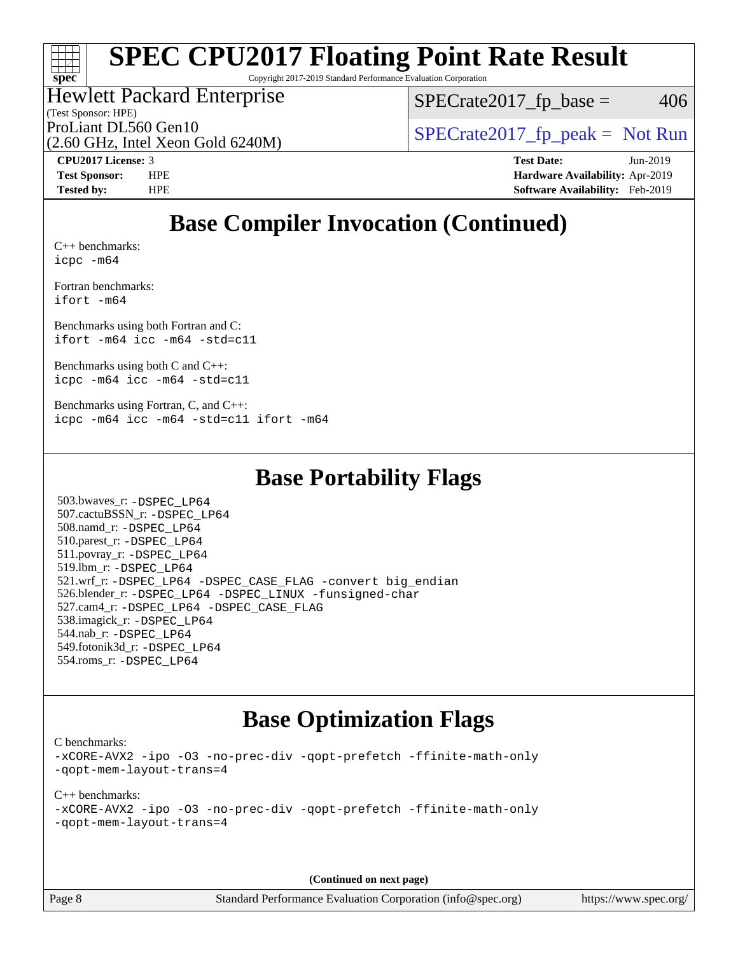# **[SPEC CPU2017 Floating Point Rate Result](http://www.spec.org/auto/cpu2017/Docs/result-fields.html#SPECCPU2017FloatingPointRateResult)**

Copyright 2017-2019 Standard Performance Evaluation Corporation

#### Hewlett Packard Enterprise

(2.60 GHz, Intel Xeon Gold 6240M)

 $SPECTate2017<sub>fp</sub> base = 406$ 

(Test Sponsor: HPE)

ProLiant DL560 Gen10  $SPECrate2017$  fp\_peak = Not Run

**[CPU2017 License:](http://www.spec.org/auto/cpu2017/Docs/result-fields.html#CPU2017License)** 3 **[Test Date:](http://www.spec.org/auto/cpu2017/Docs/result-fields.html#TestDate)** Jun-2019 **[Test Sponsor:](http://www.spec.org/auto/cpu2017/Docs/result-fields.html#TestSponsor)** HPE **[Hardware Availability:](http://www.spec.org/auto/cpu2017/Docs/result-fields.html#HardwareAvailability)** Apr-2019 **[Tested by:](http://www.spec.org/auto/cpu2017/Docs/result-fields.html#Testedby)** HPE **[Software Availability:](http://www.spec.org/auto/cpu2017/Docs/result-fields.html#SoftwareAvailability)** Feb-2019

### **[Base Compiler Invocation \(Continued\)](http://www.spec.org/auto/cpu2017/Docs/result-fields.html#BaseCompilerInvocation)**

[C++ benchmarks:](http://www.spec.org/auto/cpu2017/Docs/result-fields.html#CXXbenchmarks) [icpc -m64](http://www.spec.org/cpu2017/results/res2019q3/cpu2017-20190625-15750.flags.html#user_CXXbase_intel_icpc_64bit_4ecb2543ae3f1412ef961e0650ca070fec7b7afdcd6ed48761b84423119d1bf6bdf5cad15b44d48e7256388bc77273b966e5eb805aefd121eb22e9299b2ec9d9)

[Fortran benchmarks](http://www.spec.org/auto/cpu2017/Docs/result-fields.html#Fortranbenchmarks): [ifort -m64](http://www.spec.org/cpu2017/results/res2019q3/cpu2017-20190625-15750.flags.html#user_FCbase_intel_ifort_64bit_24f2bb282fbaeffd6157abe4f878425411749daecae9a33200eee2bee2fe76f3b89351d69a8130dd5949958ce389cf37ff59a95e7a40d588e8d3a57e0c3fd751)

[Benchmarks using both Fortran and C](http://www.spec.org/auto/cpu2017/Docs/result-fields.html#BenchmarksusingbothFortranandC): [ifort -m64](http://www.spec.org/cpu2017/results/res2019q3/cpu2017-20190625-15750.flags.html#user_CC_FCbase_intel_ifort_64bit_24f2bb282fbaeffd6157abe4f878425411749daecae9a33200eee2bee2fe76f3b89351d69a8130dd5949958ce389cf37ff59a95e7a40d588e8d3a57e0c3fd751) [icc -m64 -std=c11](http://www.spec.org/cpu2017/results/res2019q3/cpu2017-20190625-15750.flags.html#user_CC_FCbase_intel_icc_64bit_c11_33ee0cdaae7deeeab2a9725423ba97205ce30f63b9926c2519791662299b76a0318f32ddfffdc46587804de3178b4f9328c46fa7c2b0cd779d7a61945c91cd35)

[Benchmarks using both C and C++](http://www.spec.org/auto/cpu2017/Docs/result-fields.html#BenchmarksusingbothCandCXX): [icpc -m64](http://www.spec.org/cpu2017/results/res2019q3/cpu2017-20190625-15750.flags.html#user_CC_CXXbase_intel_icpc_64bit_4ecb2543ae3f1412ef961e0650ca070fec7b7afdcd6ed48761b84423119d1bf6bdf5cad15b44d48e7256388bc77273b966e5eb805aefd121eb22e9299b2ec9d9) [icc -m64 -std=c11](http://www.spec.org/cpu2017/results/res2019q3/cpu2017-20190625-15750.flags.html#user_CC_CXXbase_intel_icc_64bit_c11_33ee0cdaae7deeeab2a9725423ba97205ce30f63b9926c2519791662299b76a0318f32ddfffdc46587804de3178b4f9328c46fa7c2b0cd779d7a61945c91cd35)

[Benchmarks using Fortran, C, and C++:](http://www.spec.org/auto/cpu2017/Docs/result-fields.html#BenchmarksusingFortranCandCXX) [icpc -m64](http://www.spec.org/cpu2017/results/res2019q3/cpu2017-20190625-15750.flags.html#user_CC_CXX_FCbase_intel_icpc_64bit_4ecb2543ae3f1412ef961e0650ca070fec7b7afdcd6ed48761b84423119d1bf6bdf5cad15b44d48e7256388bc77273b966e5eb805aefd121eb22e9299b2ec9d9) [icc -m64 -std=c11](http://www.spec.org/cpu2017/results/res2019q3/cpu2017-20190625-15750.flags.html#user_CC_CXX_FCbase_intel_icc_64bit_c11_33ee0cdaae7deeeab2a9725423ba97205ce30f63b9926c2519791662299b76a0318f32ddfffdc46587804de3178b4f9328c46fa7c2b0cd779d7a61945c91cd35) [ifort -m64](http://www.spec.org/cpu2017/results/res2019q3/cpu2017-20190625-15750.flags.html#user_CC_CXX_FCbase_intel_ifort_64bit_24f2bb282fbaeffd6157abe4f878425411749daecae9a33200eee2bee2fe76f3b89351d69a8130dd5949958ce389cf37ff59a95e7a40d588e8d3a57e0c3fd751)

### **[Base Portability Flags](http://www.spec.org/auto/cpu2017/Docs/result-fields.html#BasePortabilityFlags)**

 503.bwaves\_r: [-DSPEC\\_LP64](http://www.spec.org/cpu2017/results/res2019q3/cpu2017-20190625-15750.flags.html#suite_basePORTABILITY503_bwaves_r_DSPEC_LP64) 507.cactuBSSN\_r: [-DSPEC\\_LP64](http://www.spec.org/cpu2017/results/res2019q3/cpu2017-20190625-15750.flags.html#suite_basePORTABILITY507_cactuBSSN_r_DSPEC_LP64) 508.namd\_r: [-DSPEC\\_LP64](http://www.spec.org/cpu2017/results/res2019q3/cpu2017-20190625-15750.flags.html#suite_basePORTABILITY508_namd_r_DSPEC_LP64) 510.parest\_r: [-DSPEC\\_LP64](http://www.spec.org/cpu2017/results/res2019q3/cpu2017-20190625-15750.flags.html#suite_basePORTABILITY510_parest_r_DSPEC_LP64) 511.povray\_r: [-DSPEC\\_LP64](http://www.spec.org/cpu2017/results/res2019q3/cpu2017-20190625-15750.flags.html#suite_basePORTABILITY511_povray_r_DSPEC_LP64) 519.lbm\_r: [-DSPEC\\_LP64](http://www.spec.org/cpu2017/results/res2019q3/cpu2017-20190625-15750.flags.html#suite_basePORTABILITY519_lbm_r_DSPEC_LP64) 521.wrf\_r: [-DSPEC\\_LP64](http://www.spec.org/cpu2017/results/res2019q3/cpu2017-20190625-15750.flags.html#suite_basePORTABILITY521_wrf_r_DSPEC_LP64) [-DSPEC\\_CASE\\_FLAG](http://www.spec.org/cpu2017/results/res2019q3/cpu2017-20190625-15750.flags.html#b521.wrf_r_baseCPORTABILITY_DSPEC_CASE_FLAG) [-convert big\\_endian](http://www.spec.org/cpu2017/results/res2019q3/cpu2017-20190625-15750.flags.html#user_baseFPORTABILITY521_wrf_r_convert_big_endian_c3194028bc08c63ac5d04de18c48ce6d347e4e562e8892b8bdbdc0214820426deb8554edfa529a3fb25a586e65a3d812c835984020483e7e73212c4d31a38223) 526.blender\_r: [-DSPEC\\_LP64](http://www.spec.org/cpu2017/results/res2019q3/cpu2017-20190625-15750.flags.html#suite_basePORTABILITY526_blender_r_DSPEC_LP64) [-DSPEC\\_LINUX](http://www.spec.org/cpu2017/results/res2019q3/cpu2017-20190625-15750.flags.html#b526.blender_r_baseCPORTABILITY_DSPEC_LINUX) [-funsigned-char](http://www.spec.org/cpu2017/results/res2019q3/cpu2017-20190625-15750.flags.html#user_baseCPORTABILITY526_blender_r_force_uchar_40c60f00ab013830e2dd6774aeded3ff59883ba5a1fc5fc14077f794d777847726e2a5858cbc7672e36e1b067e7e5c1d9a74f7176df07886a243d7cc18edfe67) 527.cam4\_r: [-DSPEC\\_LP64](http://www.spec.org/cpu2017/results/res2019q3/cpu2017-20190625-15750.flags.html#suite_basePORTABILITY527_cam4_r_DSPEC_LP64) [-DSPEC\\_CASE\\_FLAG](http://www.spec.org/cpu2017/results/res2019q3/cpu2017-20190625-15750.flags.html#b527.cam4_r_baseCPORTABILITY_DSPEC_CASE_FLAG) 538.imagick\_r: [-DSPEC\\_LP64](http://www.spec.org/cpu2017/results/res2019q3/cpu2017-20190625-15750.flags.html#suite_basePORTABILITY538_imagick_r_DSPEC_LP64) 544.nab\_r: [-DSPEC\\_LP64](http://www.spec.org/cpu2017/results/res2019q3/cpu2017-20190625-15750.flags.html#suite_basePORTABILITY544_nab_r_DSPEC_LP64) 549.fotonik3d\_r: [-DSPEC\\_LP64](http://www.spec.org/cpu2017/results/res2019q3/cpu2017-20190625-15750.flags.html#suite_basePORTABILITY549_fotonik3d_r_DSPEC_LP64) 554.roms\_r: [-DSPEC\\_LP64](http://www.spec.org/cpu2017/results/res2019q3/cpu2017-20190625-15750.flags.html#suite_basePORTABILITY554_roms_r_DSPEC_LP64)

### **[Base Optimization Flags](http://www.spec.org/auto/cpu2017/Docs/result-fields.html#BaseOptimizationFlags)**

[C benchmarks](http://www.spec.org/auto/cpu2017/Docs/result-fields.html#Cbenchmarks):

[-xCORE-AVX2](http://www.spec.org/cpu2017/results/res2019q3/cpu2017-20190625-15750.flags.html#user_CCbase_f-xCORE-AVX2) [-ipo](http://www.spec.org/cpu2017/results/res2019q3/cpu2017-20190625-15750.flags.html#user_CCbase_f-ipo) [-O3](http://www.spec.org/cpu2017/results/res2019q3/cpu2017-20190625-15750.flags.html#user_CCbase_f-O3) [-no-prec-div](http://www.spec.org/cpu2017/results/res2019q3/cpu2017-20190625-15750.flags.html#user_CCbase_f-no-prec-div) [-qopt-prefetch](http://www.spec.org/cpu2017/results/res2019q3/cpu2017-20190625-15750.flags.html#user_CCbase_f-qopt-prefetch) [-ffinite-math-only](http://www.spec.org/cpu2017/results/res2019q3/cpu2017-20190625-15750.flags.html#user_CCbase_f_finite_math_only_cb91587bd2077682c4b38af759c288ed7c732db004271a9512da14a4f8007909a5f1427ecbf1a0fb78ff2a814402c6114ac565ca162485bbcae155b5e4258871) [-qopt-mem-layout-trans=4](http://www.spec.org/cpu2017/results/res2019q3/cpu2017-20190625-15750.flags.html#user_CCbase_f-qopt-mem-layout-trans_fa39e755916c150a61361b7846f310bcdf6f04e385ef281cadf3647acec3f0ae266d1a1d22d972a7087a248fd4e6ca390a3634700869573d231a252c784941a8)

[C++ benchmarks:](http://www.spec.org/auto/cpu2017/Docs/result-fields.html#CXXbenchmarks) [-xCORE-AVX2](http://www.spec.org/cpu2017/results/res2019q3/cpu2017-20190625-15750.flags.html#user_CXXbase_f-xCORE-AVX2) [-ipo](http://www.spec.org/cpu2017/results/res2019q3/cpu2017-20190625-15750.flags.html#user_CXXbase_f-ipo) [-O3](http://www.spec.org/cpu2017/results/res2019q3/cpu2017-20190625-15750.flags.html#user_CXXbase_f-O3) [-no-prec-div](http://www.spec.org/cpu2017/results/res2019q3/cpu2017-20190625-15750.flags.html#user_CXXbase_f-no-prec-div) [-qopt-prefetch](http://www.spec.org/cpu2017/results/res2019q3/cpu2017-20190625-15750.flags.html#user_CXXbase_f-qopt-prefetch) [-ffinite-math-only](http://www.spec.org/cpu2017/results/res2019q3/cpu2017-20190625-15750.flags.html#user_CXXbase_f_finite_math_only_cb91587bd2077682c4b38af759c288ed7c732db004271a9512da14a4f8007909a5f1427ecbf1a0fb78ff2a814402c6114ac565ca162485bbcae155b5e4258871) [-qopt-mem-layout-trans=4](http://www.spec.org/cpu2017/results/res2019q3/cpu2017-20190625-15750.flags.html#user_CXXbase_f-qopt-mem-layout-trans_fa39e755916c150a61361b7846f310bcdf6f04e385ef281cadf3647acec3f0ae266d1a1d22d972a7087a248fd4e6ca390a3634700869573d231a252c784941a8)

**(Continued on next page)**

Page 8 Standard Performance Evaluation Corporation [\(info@spec.org\)](mailto:info@spec.org) <https://www.spec.org/>